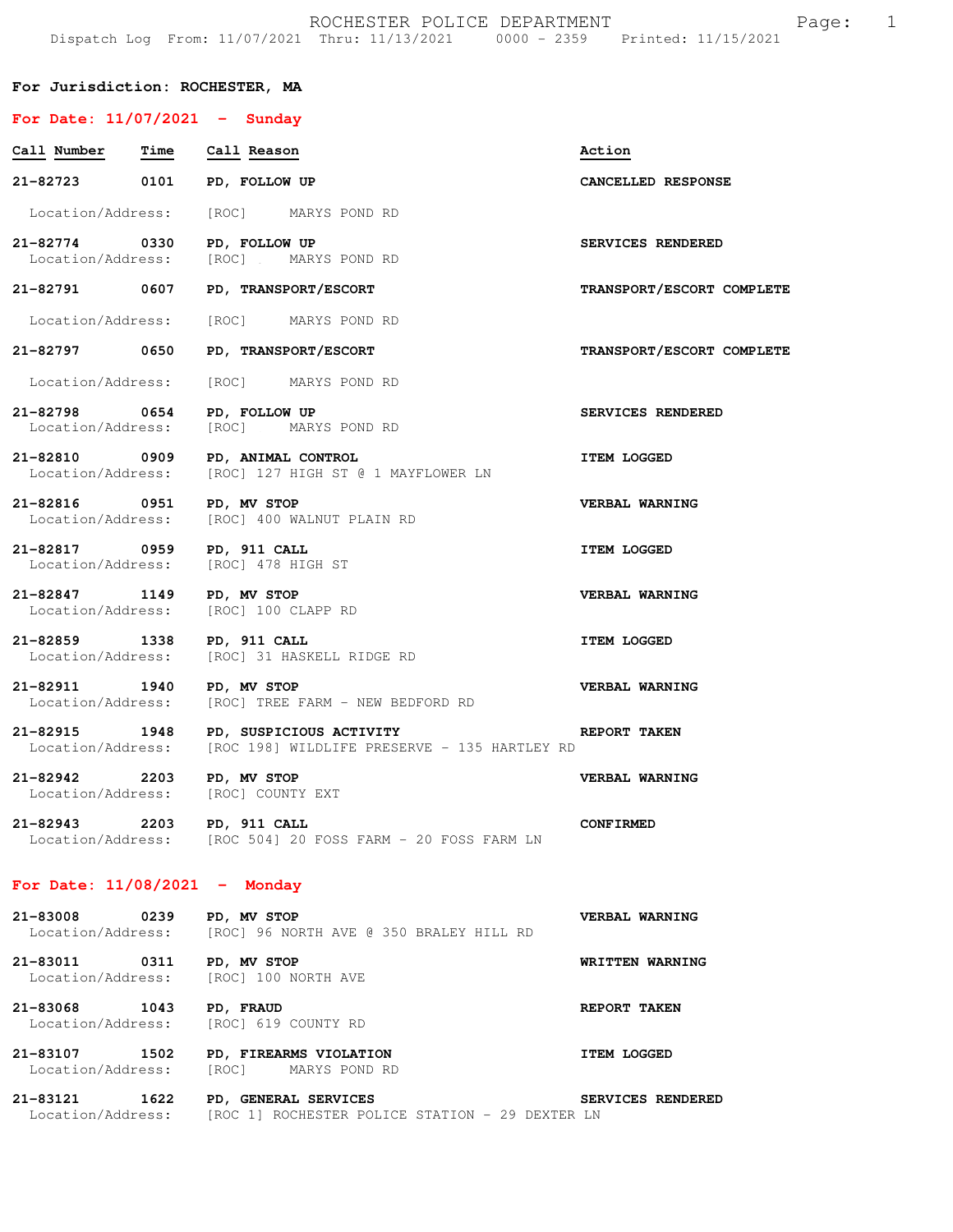| For Jurisdiction: ROCHESTER, MA                                   |                                                                                                         |                           |  |  |  |
|-------------------------------------------------------------------|---------------------------------------------------------------------------------------------------------|---------------------------|--|--|--|
| For Date: $11/07/2021$ - Sunday                                   |                                                                                                         |                           |  |  |  |
| Call Number  Time  Call Reason                                    |                                                                                                         | Action                    |  |  |  |
| 21-82723 0101 PD, FOLLOW UP                                       |                                                                                                         | CANCELLED RESPONSE        |  |  |  |
|                                                                   | Location/Address: [ROC] MARYS POND RD                                                                   |                           |  |  |  |
| 21-82774 0330                                                     | PD, FOLLOW UP<br>Location/Address: [ROC] MARYS POND RD                                                  | SERVICES RENDERED         |  |  |  |
| 21-82791 0607                                                     | PD, TRANSPORT/ESCORT                                                                                    | TRANSPORT/ESCORT COMPLETE |  |  |  |
|                                                                   | Location/Address: [ROC] MARYS POND RD                                                                   |                           |  |  |  |
| 21-82797 0650                                                     | PD, TRANSPORT/ESCORT                                                                                    | TRANSPORT/ESCORT COMPLETE |  |  |  |
|                                                                   | Location/Address: [ROC] MARYS POND RD                                                                   |                           |  |  |  |
| 21-82798 0654                                                     | PD, FOLLOW UP<br>Location/Address: [ROC] MARYS POND RD                                                  | SERVICES RENDERED         |  |  |  |
| 21-82810 0909                                                     | PD, ANIMAL CONTROL<br>Location/Address: [ROC] 127 HIGH ST @ 1 MAYFLOWER LN                              | <b>ITEM LOGGED</b>        |  |  |  |
| 21-82816 0951                                                     | PD, MV STOP<br>Location/Address: [ROC] 400 WALNUT PLAIN RD                                              | VERBAL WARNING            |  |  |  |
| 21-82817 0959 PD, 911 CALL<br>Location/Address: [ROC] 478 HIGH ST |                                                                                                         | <b>ITEM LOGGED</b>        |  |  |  |
| 21-82847 1149 PD, MV STOP<br>Location/Address: [ROC] 100 CLAPP RD |                                                                                                         | VERBAL WARNING            |  |  |  |
| 21-82859 1338 PD, 911 CALL                                        | Location/Address: [ROC] 31 HASKELL RIDGE RD                                                             | <b>ITEM LOGGED</b>        |  |  |  |
| 21-82911 1940 PD, MV STOP                                         | Location/Address: [ROC] TREE FARM - NEW BEDFORD RD                                                      | VERBAL WARNING            |  |  |  |
|                                                                   | 21-82915 1948 PD, SUSPICIOUS ACTIVITY<br>Location/Address: [ROC 198] WILDLIFE PRESERVE - 135 HARTLEY RD | <b>REPORT TAKEN</b>       |  |  |  |
| 21-82942 2203 PD, MV STOP<br>Location/Address: [ROC] COUNTY EXT   |                                                                                                         | VERBAL WARNING            |  |  |  |
| 21-82943 2203 PD, 911 CALL                                        | Location/Address: [ROC 504] 20 FOSS FARM - 20 FOSS FARM LN                                              | <b>CONFIRMED</b>          |  |  |  |
| For Date: $11/08/2021$ - Monday                                   |                                                                                                         |                           |  |  |  |
| 21-83008 0239                                                     | PD, MV STOP<br>Location/Address: [ROC] 96 NORTH AVE @ 350 BRALEY HILL RD                                | VERBAL WARNING            |  |  |  |
| 21-83011<br>Location/Address:                                     | 0311 PD, MV STOP<br>[ROC] 100 NORTH AVE                                                                 | WRITTEN WARNING           |  |  |  |

**21-83068 1043 PD, FRAUD REPORT TAKEN**  Location/Address: [ROC] 619 COUNTY RD

**21-83107 1502 PD, FIREARMS VIOLATION ITEM LOGGED**  Location/Address: [ROC] MARYS POND RD

**21-83121 1622 PD, GENERAL SERVICES SERVICES RENDERED**  Location/Address: [ROC 1] ROCHESTER POLICE STATION - 29 DEXTER LN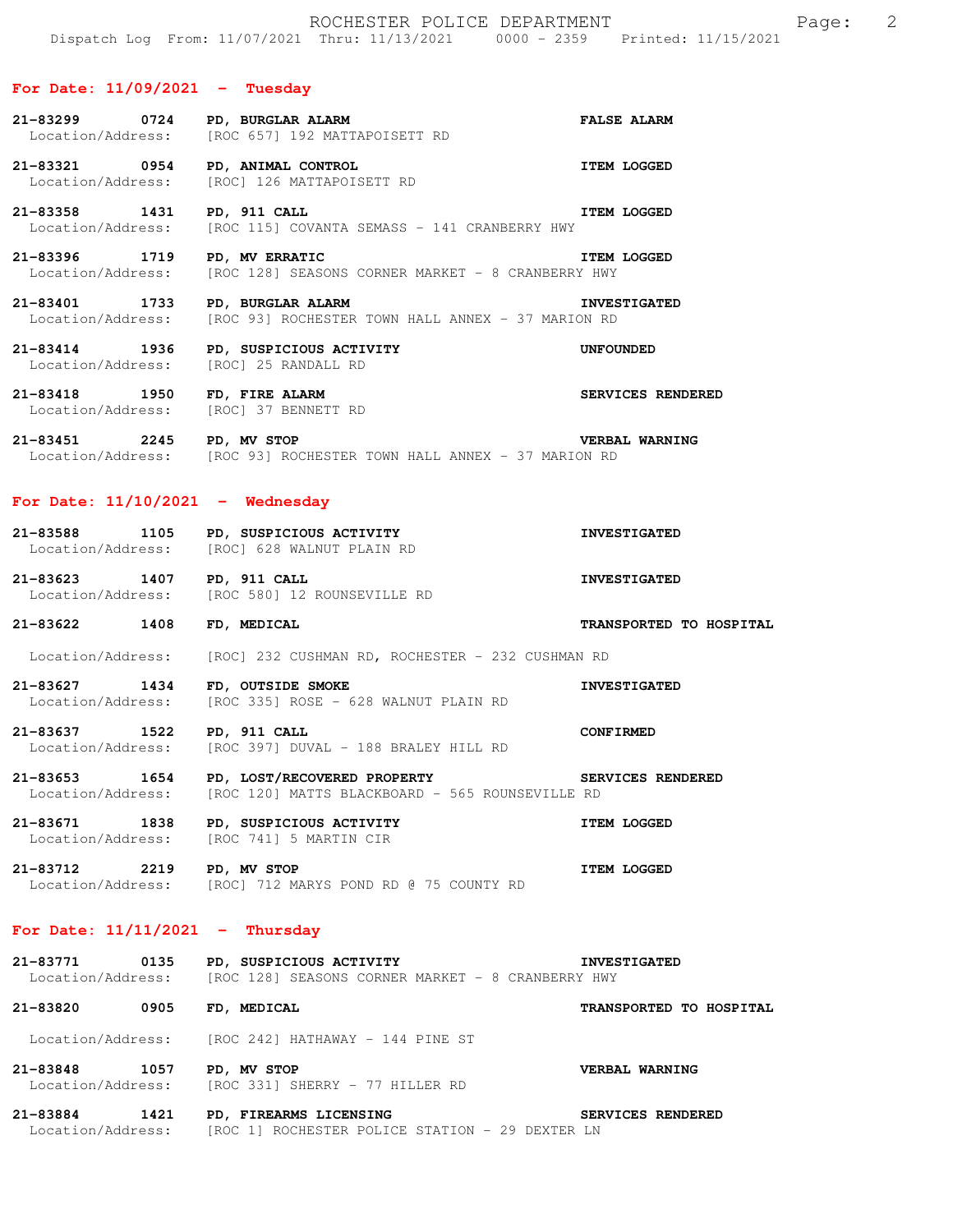## **For Date: 11/09/2021 - Tuesday**

|                                                        | 21-83299 0724 PD, BURGLAR ALARM<br>Location/Address: [ROC 657] 192 MATTAPOISETT RD                             | <b>FALSE ALARM</b>             |
|--------------------------------------------------------|----------------------------------------------------------------------------------------------------------------|--------------------------------|
| 21-83321 0954 PD, ANIMAL CONTROL                       | Location/Address: [ROC] 126 MATTAPOISETT RD                                                                    | <b>ITEM LOGGED</b>             |
| 21-83358 1431 PD, 911 CALL                             | Location/Address: [ROC 115] COVANTA SEMASS - 141 CRANBERRY HWY                                                 | <b>ITEM LOGGED</b>             |
| 21-83396 1719                                          | PD, MV ERRATIC<br>Location/Address: [ROC 128] SEASONS CORNER MARKET - 8 CRANBERRY HWY                          | <b>ITEM LOGGED</b>             |
| 21-83401 1733 PD, BURGLAR ALARM                        | Location/Address: [ROC 93] ROCHESTER TOWN HALL ANNEX - 37 MARION RD                                            | <b>INVESTIGATED</b>            |
| 21-83414 1936<br>Location/Address: [ROC] 25 RANDALL RD | PD, SUSPICIOUS ACTIVITY                                                                                        | UNFOUNDED                      |
| Location/Address: [ROC] 37 BENNETT RD                  | 21-83418 1950 FD, FIRE ALARM<br>Location/Address: [ROCL 37 BENNETT RD                                          | SERVICES RENDERED              |
| 21-83451 2245 PD, MV STOP                              | Location/Address: [ROC 93] ROCHESTER TOWN HALL ANNEX - 37 MARION RD                                            | <b>VERBAL WARNING</b>          |
| For Date: $11/10/2021$ - Wednesday                     |                                                                                                                |                                |
|                                                        | 21-83588 1105 PD, SUSPICIOUS ACTIVITY<br>Location/Address: [ROC] 628 WALNUT PLAIN RD                           | <b>INVESTIGATED</b>            |
| 21-83623 1407 PD, 911 CALL                             | Location/Address: [ROC 580] 12 ROUNSEVILLE RD                                                                  | <b>INVESTIGATED</b>            |
| 21-83622 1408                                          | FD, MEDICAL                                                                                                    | TRANSPORTED TO HOSPITAL        |
| Location/Address:                                      | [ROC] 232 CUSHMAN RD, ROCHESTER - 232 CUSHMAN RD                                                               |                                |
| 21-83627 1434<br>Location/Address:                     | FD, OUTSIDE SMOKE<br>[ROC 335] ROSE - 628 WALNUT PLAIN RD                                                      | <b>INVESTIGATED</b>            |
|                                                        | 21-83637 1522 PD, 911 CALL<br>Location/Address: [ROC 397] DUVAL - 188 BRALEY HILL RD                           | <b>CONFIRMED</b>               |
|                                                        | 21-83653 1654 PD, LOST/RECOVERED PROPERTY<br>Location/Address: [ROC 120] MATTS BLACKBOARD - 565 ROUNSEVILLE RD | SERVICES RENDERED              |
| 21-83671 1838                                          | PD, SUSPICIOUS ACTIVITY<br>Location/Address: [ROC 741] 5 MARTIN CIR                                            | <b>ITEM LOGGED</b>             |
| 21-83712 2219 PD, MV STOP                              | Location/Address: [ROC] 712 MARYS POND RD @ 75 COUNTY RD                                                       | <b>ITEM LOGGED</b>             |
| For Date: $11/11/2021$ - Thursday                      |                                                                                                                |                                |
|                                                        | 21-83771 0135 PD, SUSPICIOUS ACTIVITY<br>Location/Address: [ROC 128] SEASONS CORNER MARKET - 8 CRANBERRY HWY   | <b>INVESTIGATED</b>            |
| 21-83820 0905 FD, MEDICAL                              |                                                                                                                | <b>TRANSPORTED TO HOSPITAL</b> |
|                                                        | Location/Address: [ROC 242] HATHAWAY - 144 PINE ST                                                             |                                |

**21-83848 1057 PD, MV STOP VERBAL WARNING**  Location/Address: [ROC 331] SHERRY - 77 HILLER RD

**21-83884 1421 PD, FIREARMS LICENSING SERVICES RENDERED**  Location/Address: [ROC 1] ROCHESTER POLICE STATION - 29 DEXTER LN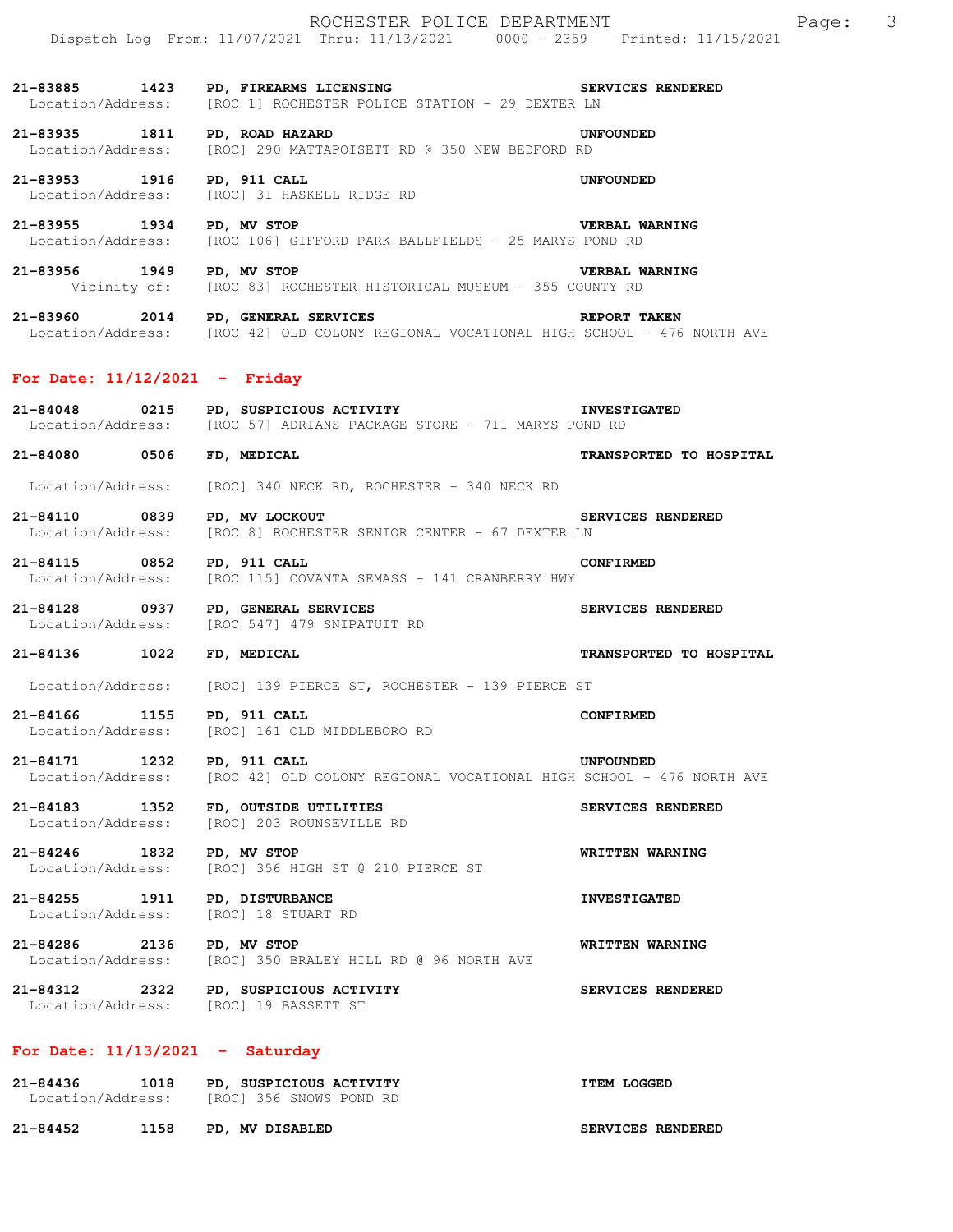**21-83885 1423 PD, FIREARMS LICENSING SERVICES RENDERED**  Location/Address: [ROC 1] ROCHESTER POLICE STATION - 29 DEXTER LN **21-83935 1811 PD, ROAD HAZARD UNFOUNDED**  Location/Address: [ROC] 290 MATTAPOISETT RD @ 350 NEW BEDFORD RD 21-83953 1916 PD, 911 CALL **DETERVIER IN THE UNFOUNDED** Location/Address: [ROC] 31 HASKELL RIDGE RD [ROC] 31 HASKELL RIDGE RD **21-83955 1934 PD, MV STOP VERBAL WARNING**  Location/Address: [ROC 106] GIFFORD PARK BALLFIELDS - 25 MARYS POND RD **21-83956 1949 PD, MV STOP VERBAL WARNING**  Vicinity of: [ROC 83] ROCHESTER HISTORICAL MUSEUM - 355 COUNTY RD **21-83960 2014 PD, GENERAL SERVICES REPORT TAKEN**  Location/Address: [ROC 42] OLD COLONY REGIONAL VOCATIONAL HIGH SCHOOL - 476 NORTH AVE **For Date: 11/12/2021 - Friday 21-84048 0215 PD, SUSPICIOUS ACTIVITY INVESTIGATED**  Location/Address: [ROC 57] ADRIANS PACKAGE STORE - 711 MARYS POND RD **21-84080 0506 FD, MEDICAL TRANSPORTED TO HOSPITAL**  Location/Address: [ROC] 340 NECK RD, ROCHESTER - 340 NECK RD **21-84110 0839 PD, MV LOCKOUT SERVICES RENDERED**  Location/Address: [ROC 8] ROCHESTER SENIOR CENTER - 67 DEXTER LN

**21-84115 0852 PD, 911 CALL CONFIRMED**  Location/Address: [ROC 115] COVANTA SEMASS - 141 CRANBERRY HWY

**21-84128 0937 PD, GENERAL SERVICES SERVICES RENDERED**  [ROC 547] 479 SNIPATUIT RD

## **21-84136 1022 FD, MEDICAL TRANSPORTED TO HOSPITAL**

Location/Address: [ROC] 139 PIERCE ST, ROCHESTER - 139 PIERCE ST

**21-84166 1155 PD, 911 CALL CONFIRMED**  Location/Address: [ROC] 161 OLD MIDDLEBORO RD

**21-84171 1232 PD, 911 CALL UNFOUNDED**  Location/Address: [ROC 42] OLD COLONY REGIONAL VOCATIONAL HIGH SCHOOL - 476 NORTH AVE

**21-84183 1352 FD, OUTSIDE UTILITIES SERVICES RENDERED**  Location/Address: [ROC] 203 ROUNSEVILLE RD

21-84246 **1832 PD, MV STOP WRITTEN WARNING**<br>Location/Address: [ROC] 356 HIGH ST @ 210 PIERCE ST [ROC] 356 HIGH ST @ 210 PIERCE ST

**21-84255 1911 PD, DISTURBANCE INVESTIGATED**  Location/Address: [ROC] 18 STUART RD

**21-84286 2136 PD, MV STOP WRITTEN WARNING**  Location/Address: [ROC] 350 BRALEY HILL RD @ 96 NORTH AVE

**21-84312 2322 PD, SUSPICIOUS ACTIVITY SERVICES RENDERED**  Location/Address: [ROC] 19 BASSETT ST

## **For Date: 11/13/2021 - Saturday**

| 21-84436 | 1018              | PD, SUSPICIOUS ACTIVITY | <b>ITEM LOGGED</b> |
|----------|-------------------|-------------------------|--------------------|
|          | Location/Address: | [ROC] 356 SNOWS POND RD |                    |
|          |                   |                         |                    |

**21-84452 1158 PD, MV DISABLED SERVICES RENDERED**